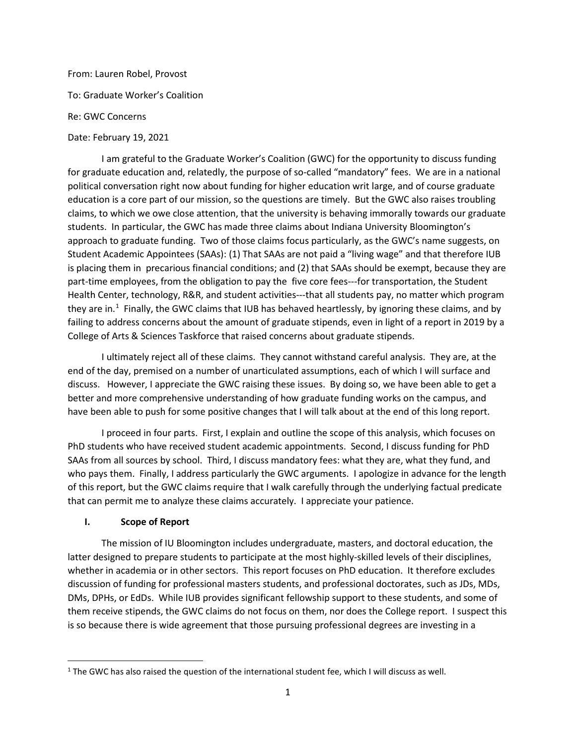### From: Lauren Robel, Provost

To: Graduate Worker's Coalition

### Re: GWC Concerns

### Date: February 19, 2021

I am grateful to the Graduate Worker's Coalition (GWC) for the opportunity to discuss funding for graduate education and, relatedly, the purpose of so-called "mandatory" fees. We are in a national political conversation right now about funding for higher education writ large, and of course graduate education is a core part of our mission, so the questions are timely. But the GWC also raises troubling claims, to which we owe close attention, that the university is behaving immorally towards our graduate students. In particular, the GWC has made three claims about Indiana University Bloomington's approach to graduate funding. Two of those claims focus particularly, as the GWC's name suggests, on Student Academic Appointees (SAAs): (1) That SAAs are not paid a "living wage" and that therefore IUB is placing them in precarious financial conditions; and (2) that SAAs should be exempt, because they are part-time employees, from the obligation to pay the five core fees---for transportation, the Student Health Center, technology, R&R, and student activities---that all students pay, no matter which program they are in.<sup>[1](#page-0-0)</sup> Finally, the GWC claims that IUB has behaved heartlessly, by ignoring these claims, and by failing to address concerns about the amount of graduate stipends, even in light of a report in 2019 by a College of Arts & Sciences Taskforce that raised concerns about graduate stipends.

I ultimately reject all of these claims. They cannot withstand careful analysis. They are, at the end of the day, premised on a number of unarticulated assumptions, each of which I will surface and discuss. However, I appreciate the GWC raising these issues. By doing so, we have been able to get a better and more comprehensive understanding of how graduate funding works on the campus, and have been able to push for some positive changes that I will talk about at the end of this long report.

I proceed in four parts. First, I explain and outline the scope of this analysis, which focuses on PhD students who have received student academic appointments. Second, I discuss funding for PhD SAAs from all sources by school. Third, I discuss mandatory fees: what they are, what they fund, and who pays them. Finally, I address particularly the GWC arguments. I apologize in advance for the length of this report, but the GWC claims require that I walk carefully through the underlying factual predicate that can permit me to analyze these claims accurately. I appreciate your patience.

## **I. Scope of Report**

The mission of IU Bloomington includes undergraduate, masters, and doctoral education, the latter designed to prepare students to participate at the most highly-skilled levels of their disciplines, whether in academia or in other sectors. This report focuses on PhD education. It therefore excludes discussion of funding for professional masters students, and professional doctorates, such as JDs, MDs, DMs, DPHs, or EdDs. While IUB provides significant fellowship support to these students, and some of them receive stipends, the GWC claims do not focus on them, nor does the College report. I suspect this is so because there is wide agreement that those pursuing professional degrees are investing in a

<span id="page-0-0"></span> $1$  The GWC has also raised the question of the international student fee, which I will discuss as well.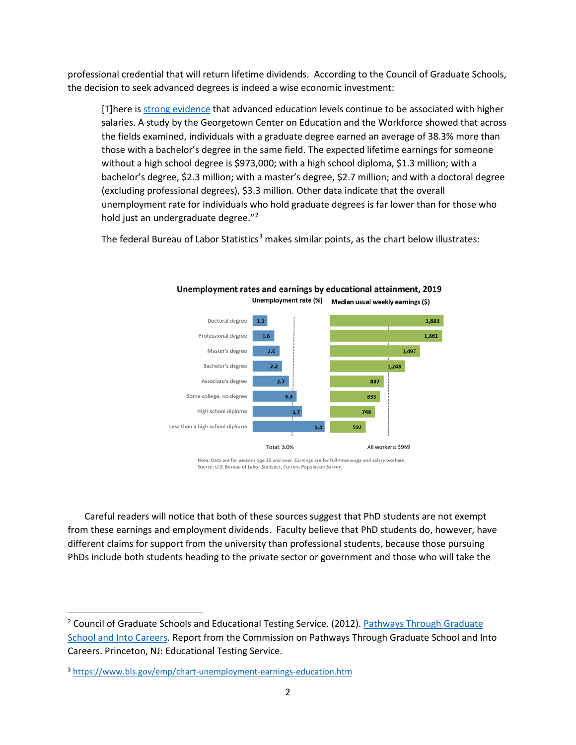professional credential that will return lifetime dividends. According to the Council of Graduate Schools, the decision to seek advanced degrees is indeed a wise economic investment:

[T]here i[s strong evidence](https://grad.msu.edu/phdcareers/career-support/phdsalaries) that advanced education levels continue to be associated with higher salaries. A study by the Georgetown Center on Education and the Workforce showed that across the fields examined, individuals with a graduate degree earned an average of 38.3% more than those with a bachelor's degree in the same field. The expected lifetime earnings for someone without a high school degree is \$973,000; with a high school diploma, \$1.3 million; with a bachelor's degree, \$2.3 million; with a master's degree, \$2.7 million; and with a doctoral degree (excluding professional degrees), \$3.3 million. Other data indicate that the overall unemployment rate for individuals who hold graduate degrees is far lower than for those who hold just an undergraduate degree."<sup>[2](#page-1-0)</sup>

The federal Bureau of Labor Statistics<sup>[3](#page-1-1)</sup> makes similar points, as the chart below illustrates:



Unemployment rates and earnings by educational attainment, 2019 Unemployment rate (%) Median usual weekly earnings (\$)

Note: Data are for persons age 25 and over. Earnings are for full-time wage and salary workers. Source: U.S. Bureau of Labor Statistics, Current Population Survey.

Careful readers will notice that both of these sources suggest that PhD students are not exempt from these earnings and employment dividends. Faculty believe that PhD students do, however, have different claims for support from the university than professional students, because those pursuing PhDs include both students heading to the private sector or government and those who will take the

<span id="page-1-0"></span><sup>&</sup>lt;sup>2</sup> Council of Graduate Schools and Educational Testing Service. (2012). Pathways Through Graduate [School and Into Careers.](http://pathwaysreport.org/rsc/pdf/19089_PathwaysRept_Links.pdf) Report from the Commission on Pathways Through Graduate School and Into Careers. Princeton, NJ: Educational Testing Service.

<span id="page-1-1"></span><sup>3</sup> <https://www.bls.gov/emp/chart-unemployment-earnings-education.htm>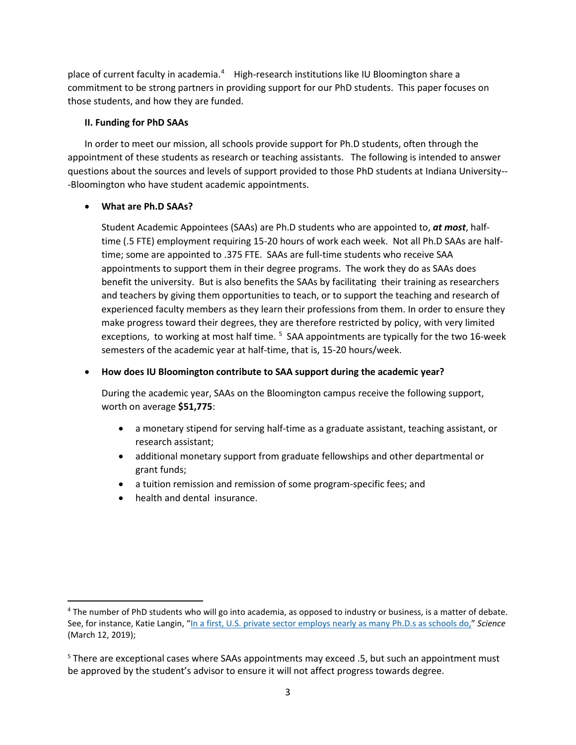place of current faculty in academia.<sup>[4](#page-2-0)</sup> High-research institutions like IU Bloomington share a commitment to be strong partners in providing support for our PhD students. This paper focuses on those students, and how they are funded.

## **II. Funding for PhD SAAs**

In order to meet our mission, all schools provide support for Ph.D students, often through the appointment of these students as research or teaching assistants. The following is intended to answer questions about the sources and levels of support provided to those PhD students at Indiana University-- -Bloomington who have student academic appointments.

## • **What are Ph.D SAAs?**

Student Academic Appointees (SAAs) are Ph.D students who are appointed to, *at most*, halftime (.5 FTE) employment requiring 15-20 hours of work each week. Not all Ph.D SAAs are halftime; some are appointed to .375 FTE. SAAs are full-time students who receive SAA appointments to support them in their degree programs. The work they do as SAAs does benefit the university. But is also benefits the SAAs by facilitating their training as researchers and teachers by giving them opportunities to teach, or to support the teaching and research of experienced faculty members as they learn their professions from them. In order to ensure they make progress toward their degrees, they are therefore restricted by policy, with very limited exceptions, to working at most half time.<sup>[5](#page-2-1)</sup> SAA appointments are typically for the two 16-week semesters of the academic year at half-time, that is, 15-20 hours/week.

# • **How does IU Bloomington contribute to SAA support during the academic year?**

During the academic year, SAAs on the Bloomington campus receive the following support, worth on average **\$51,775**:

- a monetary stipend for serving half-time as a graduate assistant, teaching assistant, or research assistant;
- additional monetary support from graduate fellowships and other departmental or grant funds;
- a tuition remission and remission of some program-specific fees; and
- health and dental insurance.

<span id="page-2-0"></span><sup>&</sup>lt;sup>4</sup> The number of PhD students who will go into academia, as opposed to industry or business, is a matter of debate. See, for instance, Katie Langin, ["In a first, U.S. private sector employs nearly as many Ph.D.s as schools do,"](https://www.sciencemag.org/careers/2019/03/first-us-private-sector-employs-nearly-many-phds-schools-do) *Science* (March 12, 2019);

<span id="page-2-1"></span><sup>5</sup> There are exceptional cases where SAAs appointments may exceed .5, but such an appointment must be approved by the student's advisor to ensure it will not affect progress towards degree.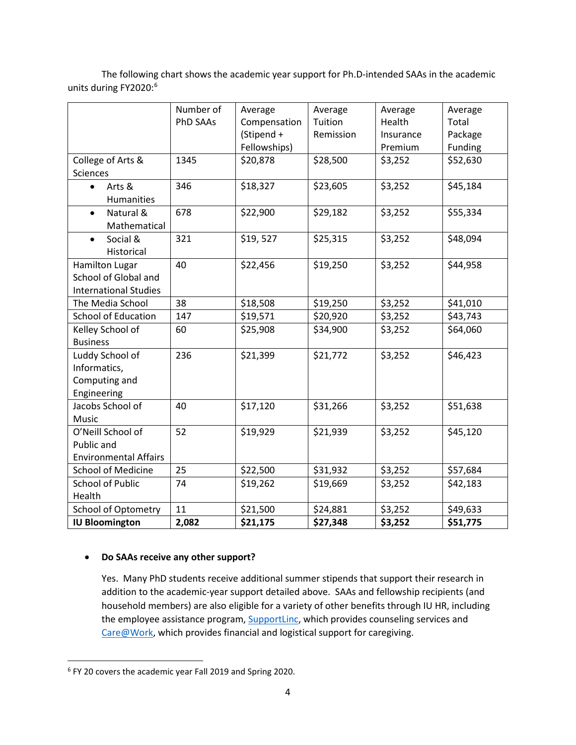The following chart shows the academic year support for Ph.D-intended SAAs in the academic units during FY2020:<sup>[6](#page-3-0)</sup>

|                                                                        | Number of<br><b>PhD SAAs</b> | Average<br>Compensation<br>(Stipend + | Average<br>Tuition<br>Remission | Average<br>Health<br>Insurance | Average<br>Total<br>Package |
|------------------------------------------------------------------------|------------------------------|---------------------------------------|---------------------------------|--------------------------------|-----------------------------|
|                                                                        |                              | Fellowships)                          |                                 | Premium                        | Funding                     |
| College of Arts &<br>Sciences                                          | 1345                         | \$20,878                              | \$28,500                        | \$3,252                        | \$52,630                    |
| Arts &<br>$\bullet$<br>Humanities                                      | 346                          | \$18,327                              | \$23,605                        | \$3,252                        | \$45,184                    |
| Natural &<br>$\bullet$<br>Mathematical                                 | 678                          | \$22,900                              | \$29,182                        | \$3,252                        | \$55,334                    |
| Social &<br>$\bullet$<br>Historical                                    | 321                          | \$19,527                              | \$25,315                        | \$3,252                        | \$48,094                    |
| Hamilton Lugar<br>School of Global and<br><b>International Studies</b> | 40                           | \$22,456                              | \$19,250                        | \$3,252                        | \$44,958                    |
| The Media School                                                       | 38                           | \$18,508                              | \$19,250                        | \$3,252                        | \$41,010                    |
| <b>School of Education</b>                                             | 147                          | \$19,571                              | \$20,920                        | \$3,252                        | \$43,743                    |
| Kelley School of<br><b>Business</b>                                    | 60                           | \$25,908                              | \$34,900                        | \$3,252                        | \$64,060                    |
| Luddy School of<br>Informatics,<br>Computing and<br>Engineering        | 236                          | \$21,399                              | \$21,772                        | \$3,252                        | \$46,423                    |
| Jacobs School of<br>Music                                              | 40                           | \$17,120                              | \$31,266                        | \$3,252                        | \$51,638                    |
| O'Neill School of<br>Public and<br><b>Environmental Affairs</b>        | 52                           | \$19,929                              | \$21,939                        | \$3,252                        | \$45,120                    |
| <b>School of Medicine</b>                                              | 25                           | \$22,500                              | \$31,932                        | \$3,252                        | \$57,684                    |
| <b>School of Public</b><br>Health                                      | 74                           | \$19,262                              | \$19,669                        | \$3,252                        | \$42,183                    |
| <b>School of Optometry</b>                                             | 11                           | \$21,500                              | \$24,881                        | \$3,252                        | \$49,633                    |
| <b>IU Bloomington</b>                                                  | 2,082                        | \$21,175                              | \$27,348                        | \$3,252                        | \$51,775                    |

# • **Do SAAs receive any other support?**

Yes. Many PhD students receive additional summer stipends that support their research in addition to the academic-year support detailed above. SAAs and fellowship recipients (and household members) are also eligible for a variety of other benefits through IU HR, including the employee assistance program, **SupportLinc**, which provides counseling services and [Care@Work,](https://hr.iu.edu/benefits/care.html) which provides financial and logistical support for caregiving.

<span id="page-3-0"></span> <sup>6</sup> FY 20 covers the academic year Fall 2019 and Spring 2020.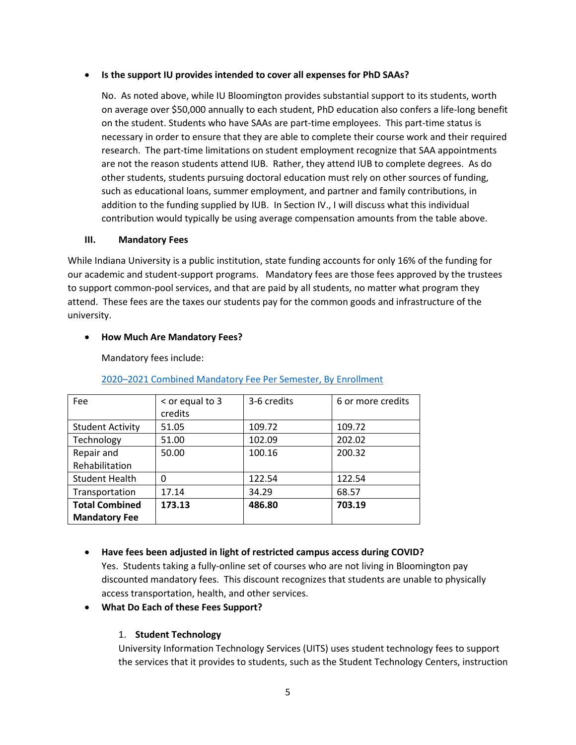## • **Is the support IU provides intended to cover all expenses for PhD SAAs?**

No. As noted above, while IU Bloomington provides substantial support to its students, worth on average over \$50,000 annually to each student, PhD education also confers a life-long benefit on the student. Students who have SAAs are part-time employees. This part-time status is necessary in order to ensure that they are able to complete their course work and their required research. The part-time limitations on student employment recognize that SAA appointments are not the reason students attend IUB. Rather, they attend IUB to complete degrees. As do other students, students pursuing doctoral education must rely on other sources of funding, such as educational loans, summer employment, and partner and family contributions, in addition to the funding supplied by IUB. In Section IV., I will discuss what this individual contribution would typically be using average compensation amounts from the table above.

### **III. Mandatory Fees**

While Indiana University is a public institution, state funding accounts for only 16% of the funding for our academic and student-support programs. Mandatory fees are those fees approved by the trustees to support common-pool services, and that are paid by all students, no matter what program they attend. These fees are the taxes our students pay for the common goods and infrastructure of the university.

## • **How Much Are Mandatory Fees?**

Mandatory fees include:

| <b>Fee</b>              | $<$ or equal to 3<br>credits | 3-6 credits | 6 or more credits |
|-------------------------|------------------------------|-------------|-------------------|
| <b>Student Activity</b> | 51.05                        | 109.72      | 109.72            |
| Technology              | 51.00                        | 102.09      | 202.02            |
| Repair and              | 50.00                        | 100.16      | 200.32            |
| Rehabilitation          |                              |             |                   |
| <b>Student Health</b>   | 0                            | 122.54      | 122.54            |
| Transportation          | 17.14                        | 34.29       | 68.57             |
| <b>Total Combined</b>   | 173.13                       | 486.80      | 703.19            |
| <b>Mandatory Fee</b>    |                              |             |                   |

[2020–2021 Combined Mandatory Fee Per Semester, By Enrollment](https://studentcentral.indiana.edu/pay-for-college/cost-of-iu/mandatory-fees.html)

• **Have fees been adjusted in light of restricted campus access during COVID?** Yes. Students taking a fully-online set of courses who are not living in Bloomington pay discounted mandatory fees. This discount recognizes that students are unable to physically

## • **What Do Each of these Fees Support?**

access transportation, health, and other services.

# 1. **Student Technology**

University Information Technology Services (UITS) uses student technology fees to support the services that it provides to students, such as the Student Technology Centers, instruction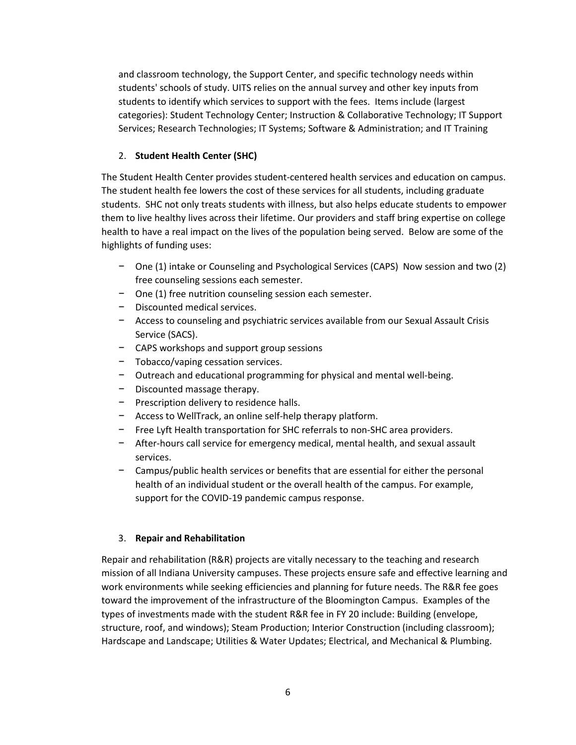and classroom technology, the Support Center, and specific technology needs within students' schools of study. UITS relies on the annual survey and other key inputs from students to identify which services to support with the fees. Items include (largest categories): Student Technology Center; Instruction & Collaborative Technology; IT Support Services; Research Technologies; IT Systems; Software & Administration; and IT Training

# 2. **Student Health Center (SHC)**

The Student Health Center provides student-centered health services and education on campus. The student health fee lowers the cost of these services for all students, including graduate students. SHC not only treats students with illness, but also helps educate students to empower them to live healthy lives across their lifetime. Our providers and staff bring expertise on college health to have a real impact on the lives of the population being served. Below are some of the highlights of funding uses:

- − One (1) intake or Counseling and Psychological Services (CAPS) Now session and two (2) free counseling sessions each semester.
- − One (1) free nutrition counseling session each semester.
- − Discounted medical services.
- − Access to counseling and psychiatric services available from our Sexual Assault Crisis Service (SACS).
- − CAPS workshops and support group sessions
- − Tobacco/vaping cessation services.
- − Outreach and educational programming for physical and mental well-being.
- − Discounted massage therapy.
- − Prescription delivery to residence halls.
- − Access to WellTrack, an online self-help therapy platform.
- − Free Lyft Health transportation for SHC referrals to non-SHC area providers.
- − After-hours call service for emergency medical, mental health, and sexual assault services.
- − Campus/public health services or benefits that are essential for either the personal health of an individual student or the overall health of the campus. For example, support for the COVID-19 pandemic campus response.

# 3. **Repair and Rehabilitation**

Repair and rehabilitation (R&R) projects are vitally necessary to the teaching and research mission of all Indiana University campuses. These projects ensure safe and effective learning and work environments while seeking efficiencies and planning for future needs. The R&R fee goes toward the improvement of the infrastructure of the Bloomington Campus. Examples of the types of investments made with the student R&R fee in FY 20 include: Building (envelope, structure, roof, and windows); Steam Production; Interior Construction (including classroom); Hardscape and Landscape; Utilities & Water Updates; Electrical, and Mechanical & Plumbing.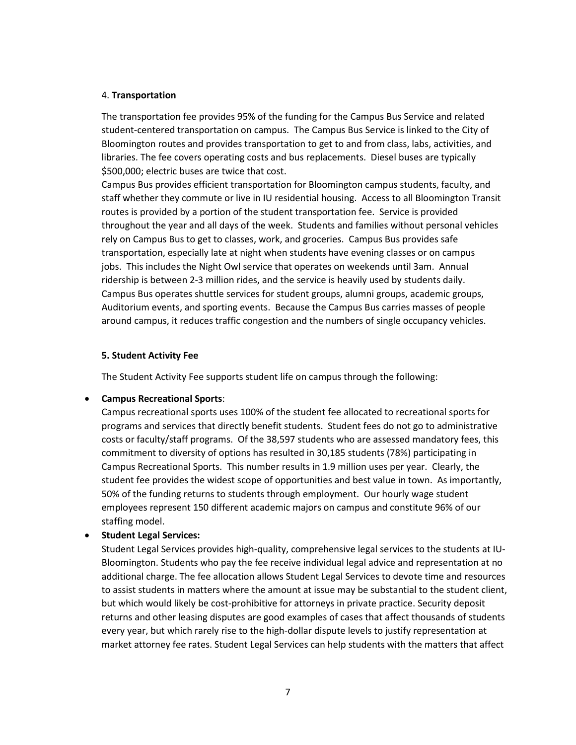#### 4. **Transportation**

The transportation fee provides 95% of the funding for the Campus Bus Service and related student-centered transportation on campus. The Campus Bus Service is linked to the City of Bloomington routes and provides transportation to get to and from class, labs, activities, and libraries. The fee covers operating costs and bus replacements. Diesel buses are typically \$500,000; electric buses are twice that cost.

Campus Bus provides efficient transportation for Bloomington campus students, faculty, and staff whether they commute or live in IU residential housing. Access to all Bloomington Transit routes is provided by a portion of the student transportation fee. Service is provided throughout the year and all days of the week. Students and families without personal vehicles rely on Campus Bus to get to classes, work, and groceries. Campus Bus provides safe transportation, especially late at night when students have evening classes or on campus jobs. This includes the Night Owl service that operates on weekends until 3am. Annual ridership is between 2-3 million rides, and the service is heavily used by students daily. Campus Bus operates shuttle services for student groups, alumni groups, academic groups, Auditorium events, and sporting events. Because the Campus Bus carries masses of people around campus, it reduces traffic congestion and the numbers of single occupancy vehicles.

### **5. Student Activity Fee**

The Student Activity Fee supports student life on campus through the following:

## • **Campus Recreational Sports**:

Campus recreational sports uses 100% of the student fee allocated to recreational sports for programs and services that directly benefit students. Student fees do not go to administrative costs or faculty/staff programs. Of the 38,597 students who are assessed mandatory fees, this commitment to diversity of options has resulted in 30,185 students (78%) participating in Campus Recreational Sports. This number results in 1.9 million uses per year. Clearly, the student fee provides the widest scope of opportunities and best value in town. As importantly, 50% of the funding returns to students through employment. Our hourly wage student employees represent 150 different academic majors on campus and constitute 96% of our staffing model.

## • **Student Legal Services:**

Student Legal Services provides high-quality, comprehensive legal services to the students at IU-Bloomington. Students who pay the fee receive individual legal advice and representation at no additional charge. The fee allocation allows Student Legal Services to devote time and resources to assist students in matters where the amount at issue may be substantial to the student client, but which would likely be cost-prohibitive for attorneys in private practice. Security deposit returns and other leasing disputes are good examples of cases that affect thousands of students every year, but which rarely rise to the high-dollar dispute levels to justify representation at market attorney fee rates. Student Legal Services can help students with the matters that affect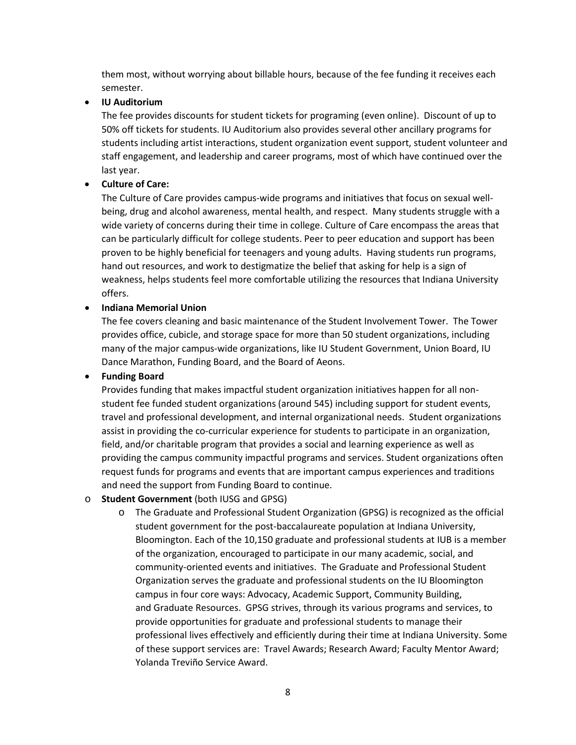them most, without worrying about billable hours, because of the fee funding it receives each semester.

## • **IU Auditorium**

The fee provides discounts for student tickets for programing (even online). Discount of up to 50% off tickets for students. IU Auditorium also provides several other ancillary programs for students including artist interactions, student organization event support, student volunteer and staff engagement, and leadership and career programs, most of which have continued over the last year.

# • **Culture of Care:**

The Culture of Care provides campus-wide programs and initiatives that focus on sexual wellbeing, drug and alcohol awareness, mental health, and respect. Many students struggle with a wide variety of concerns during their time in college. Culture of Care encompass the areas that can be particularly difficult for college students. Peer to peer education and support has been proven to be highly beneficial for teenagers and young adults. Having students run programs, hand out resources, and work to destigmatize the belief that asking for help is a sign of weakness, helps students feel more comfortable utilizing the resources that Indiana University offers.

## • **Indiana Memorial Union**

The fee covers cleaning and basic maintenance of the Student Involvement Tower. The Tower provides office, cubicle, and storage space for more than 50 student organizations, including many of the major campus-wide organizations, like IU Student Government, Union Board, IU Dance Marathon, Funding Board, and the Board of Aeons.

# • **Funding Board**

Provides funding that makes impactful student organization initiatives happen for all nonstudent fee funded student organizations (around 545) including support for student events, travel and professional development, and internal organizational needs. Student organizations assist in providing the co-curricular experience for students to participate in an organization, field, and/or charitable program that provides a social and learning experience as well as providing the campus community impactful programs and services. Student organizations often request funds for programs and events that are important campus experiences and traditions and need the support from Funding Board to continue.

## o **Student Government** (both IUSG and GPSG)

o The Graduate and Professional Student Organization (GPSG) is recognized as the official student government for the post-baccalaureate population at Indiana University, Bloomington. Each of the 10,150 graduate and professional students at IUB is a member of the organization, encouraged to participate in our many academic, social, and community-oriented events and initiatives. The Graduate and Professional Student Organization serves the graduate and professional students on the IU Bloomington campus in four core ways: Advocacy, Academic Support, Community Building, and Graduate Resources. GPSG strives, through its various programs and services, to provide opportunities for graduate and professional students to manage their professional lives effectively and efficiently during their time at Indiana University. Some of these support services are: Travel Awards; Research Award; Faculty Mentor Award; Yolanda Treviño Service Award.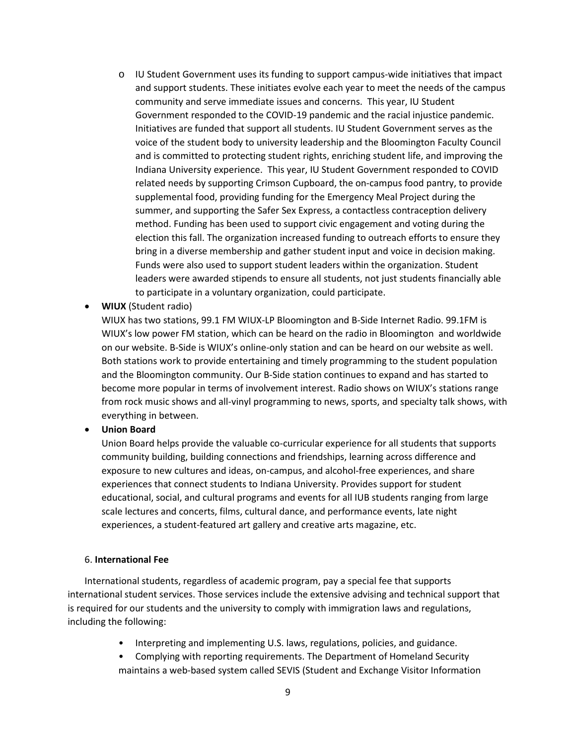- o IU Student Government uses its funding to support campus-wide initiatives that impact and support students. These initiates evolve each year to meet the needs of the campus community and serve immediate issues and concerns. This year, IU Student Government responded to the COVID-19 pandemic and the racial injustice pandemic. Initiatives are funded that support all students. IU Student Government serves as the voice of the student body to university leadership and the Bloomington Faculty Council and is committed to protecting student rights, enriching student life, and improving the Indiana University experience. This year, IU Student Government responded to COVID related needs by supporting Crimson Cupboard, the on-campus food pantry, to provide supplemental food, providing funding for the Emergency Meal Project during the summer, and supporting the Safer Sex Express, a contactless contraception delivery method. Funding has been used to support civic engagement and voting during the election this fall. The organization increased funding to outreach efforts to ensure they bring in a diverse membership and gather student input and voice in decision making. Funds were also used to support student leaders within the organization. Student leaders were awarded stipends to ensure all students, not just students financially able to participate in a voluntary organization, could participate.
- **WIUX** (Student radio)

WIUX has two stations, 99.1 FM WIUX-LP Bloomington and B-Side Internet Radio. 99.1FM is WIUX's low power FM station, which can be heard on the radio in Bloomington and worldwide on our website. B-Side is WIUX's online-only station and can be heard on our website as well. Both stations work to provide entertaining and timely programming to the student population and the Bloomington community. Our B-Side station continues to expand and has started to become more popular in terms of involvement interest. Radio shows on WIUX's stations range from rock music shows and all-vinyl programming to news, sports, and specialty talk shows, with everything in between.

#### • **Union Board**

Union Board helps provide the valuable co-curricular experience for all students that supports community building, building connections and friendships, learning across difference and exposure to new cultures and ideas, on-campus, and alcohol-free experiences, and share experiences that connect students to Indiana University. Provides support for student educational, social, and cultural programs and events for all IUB students ranging from large scale lectures and concerts, films, cultural dance, and performance events, late night experiences, a student-featured art gallery and creative arts magazine, etc.

#### 6. **International Fee**

International students, regardless of academic program, pay a special fee that supports international student services. Those services include the extensive advising and technical support that is required for our students and the university to comply with immigration laws and regulations, including the following:

- Interpreting and implementing U.S. laws, regulations, policies, and guidance.
- Complying with reporting requirements. The Department of Homeland Security maintains a web-based system called SEVIS (Student and Exchange Visitor Information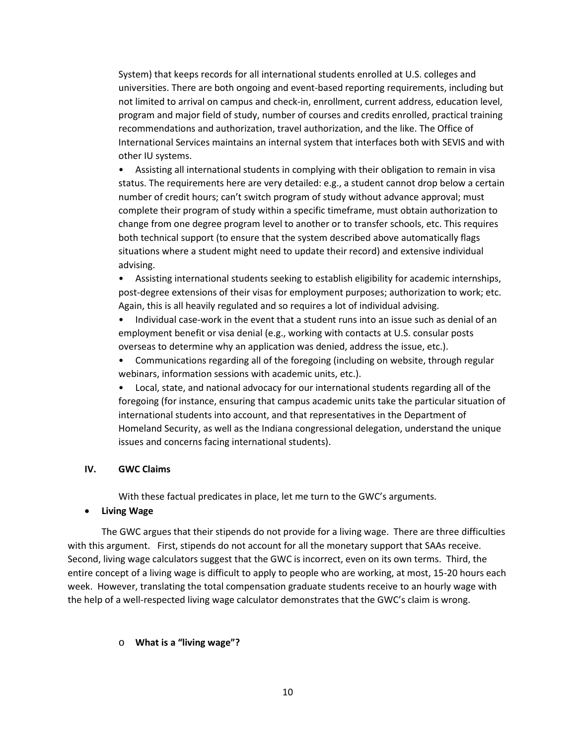System) that keeps records for all international students enrolled at U.S. colleges and universities. There are both ongoing and event-based reporting requirements, including but not limited to arrival on campus and check-in, enrollment, current address, education level, program and major field of study, number of courses and credits enrolled, practical training recommendations and authorization, travel authorization, and the like. The Office of International Services maintains an internal system that interfaces both with SEVIS and with other IU systems.

• Assisting all international students in complying with their obligation to remain in visa status. The requirements here are very detailed: e.g., a student cannot drop below a certain number of credit hours; can't switch program of study without advance approval; must complete their program of study within a specific timeframe, must obtain authorization to change from one degree program level to another or to transfer schools, etc. This requires both technical support (to ensure that the system described above automatically flags situations where a student might need to update their record) and extensive individual advising.

• Assisting international students seeking to establish eligibility for academic internships, post-degree extensions of their visas for employment purposes; authorization to work; etc. Again, this is all heavily regulated and so requires a lot of individual advising.

• Individual case-work in the event that a student runs into an issue such as denial of an employment benefit or visa denial (e.g., working with contacts at U.S. consular posts overseas to determine why an application was denied, address the issue, etc.).

• Communications regarding all of the foregoing (including on website, through regular webinars, information sessions with academic units, etc.).

• Local, state, and national advocacy for our international students regarding all of the foregoing (for instance, ensuring that campus academic units take the particular situation of international students into account, and that representatives in the Department of Homeland Security, as well as the Indiana congressional delegation, understand the unique issues and concerns facing international students).

#### **IV. GWC Claims**

With these factual predicates in place, let me turn to the GWC's arguments.

#### • **Living Wage**

The GWC argues that their stipends do not provide for a living wage. There are three difficulties with this argument. First, stipends do not account for all the monetary support that SAAs receive. Second, living wage calculators suggest that the GWC is incorrect, even on its own terms. Third, the entire concept of a living wage is difficult to apply to people who are working, at most, 15-20 hours each week. However, translating the total compensation graduate students receive to an hourly wage with the help of a well-respected living wage calculator demonstrates that the GWC's claim is wrong.

#### o **What is a "living wage"?**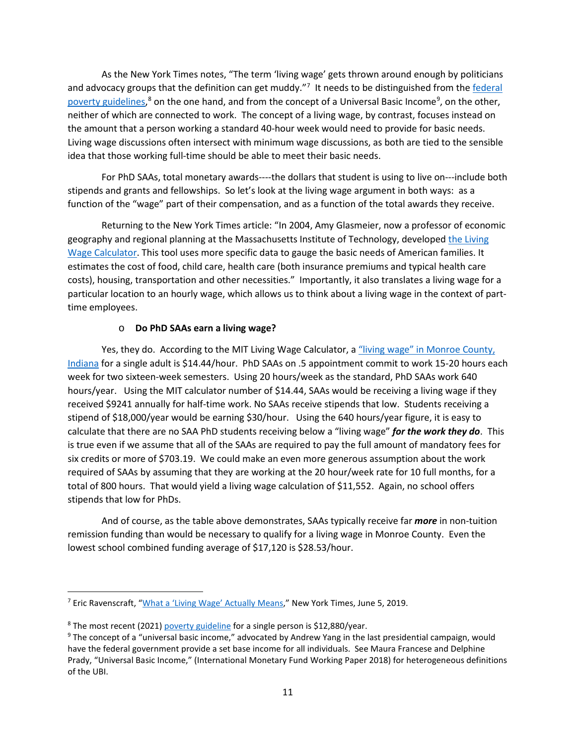As the New York Times notes, "The term 'living wage' gets thrown around enough by politicians and advocacy groups that the definition can get muddy."<sup>[7](#page-10-0)</sup> It needs to be distinguished from the federal [poverty guidelines,](https://www.federalregister.gov/documents/2020/01/17/2020-00858/annual-update-of-the-hhs-poverty-guidelines)<sup>[8](#page-10-1)</sup> on the one hand, and from the concept of a Universal Basic Income<sup>[9](#page-10-2)</sup>, on the other, neither of which are connected to work. The concept of a living wage, by contrast, focuses instead on the amount that a person working a standard 40-hour week would need to provide for basic needs. Living wage discussions often intersect with minimum wage discussions, as both are tied to the sensible idea that those working full-time should be able to meet their basic needs.

For PhD SAAs, total monetary awards----the dollars that student is using to live on---include both stipends and grants and fellowships. So let's look at the living wage argument in both ways: as a function of the "wage" part of their compensation, and as a function of the total awards they receive.

Returning to the New York Times article: "In 2004, Amy Glasmeier, now a professor of economic geography and regional planning at the Massachusetts Institute of Technology, developed [the Living](http://livingwage.mit.edu/)  [Wage Calculator.](http://livingwage.mit.edu/) This tool uses more specific data to gauge the basic needs of American families. It estimates the cost of food, child care, health care (both insurance premiums and typical health care costs), housing, transportation and other necessities." Importantly, it also translates a living wage for a particular location to an hourly wage, which allows us to think about a living wage in the context of parttime employees.

### o **Do PhD SAAs earn a living wage?**

Yes, they do. According to the MIT Living Wage Calculator, a "living wage" in Monroe County, [Indiana](https://livingwage.mit.edu/counties/18105) for a single adult is \$14.44/hour. PhD SAAs on .5 appointment commit to work 15-20 hours each week for two sixteen-week semesters. Using 20 hours/week as the standard, PhD SAAs work 640 hours/year. Using the MIT calculator number of \$14.44, SAAs would be receiving a living wage if they received \$9241 annually for half-time work. No SAAs receive stipends that low. Students receiving a stipend of \$18,000/year would be earning \$30/hour. Using the 640 hours/year figure, it is easy to calculate that there are no SAA PhD students receiving below a "living wage" *for the work they do*. This is true even if we assume that all of the SAAs are required to pay the full amount of mandatory fees for six credits or more of \$703.19. We could make an even more generous assumption about the work required of SAAs by assuming that they are working at the 20 hour/week rate for 10 full months, for a total of 800 hours. That would yield a living wage calculation of \$11,552. Again, no school offers stipends that low for PhDs.

And of course, as the table above demonstrates, SAAs typically receive far *more* in non-tuition remission funding than would be necessary to qualify for a living wage in Monroe County. Even the lowest school combined funding average of \$17,120 is \$28.53/hour.

<span id="page-10-0"></span> <sup>7</sup> Eric Ravenscraft, ["What a 'Living Wage' Actually Means,"](https://www.nytimes.com/2019/06/05/smarter-living/what-a-living-wage-actually-means.html) New York Times, June 5, 2019.

<span id="page-10-2"></span><span id="page-10-1"></span><sup>&</sup>lt;sup>8</sup> The most recent (2021) *poverty guideline* [f](https://www.federalregister.gov/documents/2021/02/01/2021-01969/annual-update-of-the-hhs-poverty-guidelines)or a single person is \$12,880/year.<br><sup>9</sup> The concept of a "universal basic income," advocated by Andrew Yang in the last presidential campaign, would have the federal government provide a set base income for all individuals. See Maura Francese and Delphine Prady, "Universal Basic Income," (International Monetary Fund Working Paper 2018) for heterogeneous definitions of the UBI.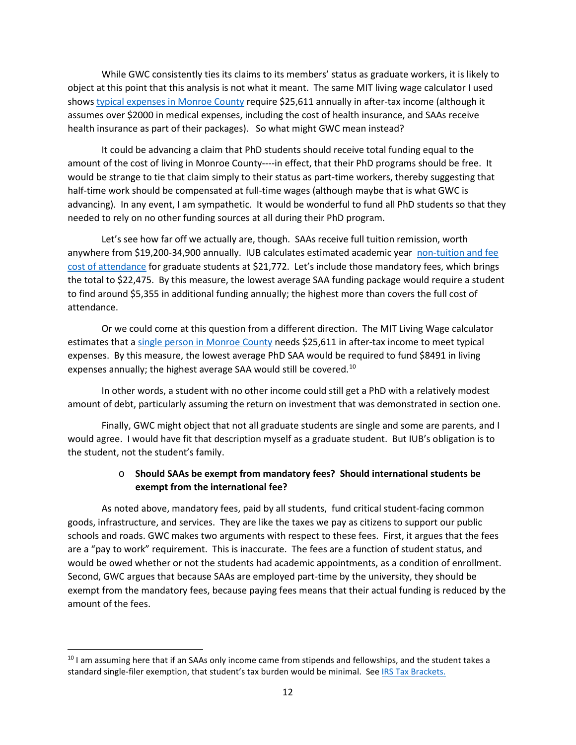While GWC consistently ties its claims to its members' status as graduate workers, it is likely to object at this point that this analysis is not what it meant. The same MIT living wage calculator I used show[s typical expenses in Monroe County](https://livingwage.mit.edu/counties/18105) require \$25,611 annually in after-tax income (although it assumes over \$2000 in medical expenses, including the cost of health insurance, and SAAs receive health insurance as part of their packages). So what might GWC mean instead?

It could be advancing a claim that PhD students should receive total funding equal to the amount of the cost of living in Monroe County----in effect, that their PhD programs should be free. It would be strange to tie that claim simply to their status as part-time workers, thereby suggesting that half-time work should be compensated at full-time wages (although maybe that is what GWC is advancing). In any event, I am sympathetic. It would be wonderful to fund all PhD students so that they needed to rely on no other funding sources at all during their PhD program.

Let's see how far off we actually are, though. SAAs receive full tuition remission, worth anywhere from \$19,200-34,900 annually. IUB calculates estimated academic year non-tuition and fee [cost of attendance](https://studentcentral.indiana.edu/pay-for-college/cost-of-iu/estimated-cost.html) for graduate students at \$21,772. Let's include those mandatory fees, which brings the total to \$22,475. By this measure, the lowest average SAA funding package would require a student to find around \$5,355 in additional funding annually; the highest more than covers the full cost of attendance.

Or we could come at this question from a different direction. The MIT Living Wage calculator estimates that [a single person in Monroe County](https://livingwage.mit.edu/counties/18105) needs \$25,611 in after-tax income to meet typical expenses. By this measure, the lowest average PhD SAA would be required to fund \$8491 in living expenses annually; the highest average SAA would still be covered.<sup>[10](#page-11-0)</sup>

In other words, a student with no other income could still get a PhD with a relatively modest amount of debt, particularly assuming the return on investment that was demonstrated in section one.

Finally, GWC might object that not all graduate students are single and some are parents, and I would agree. I would have fit that description myself as a graduate student. But IUB's obligation is to the student, not the student's family.

# o **Should SAAs be exempt from mandatory fees? Should international students be exempt from the international fee?**

As noted above, mandatory fees, paid by all students, fund critical student-facing common goods, infrastructure, and services. They are like the taxes we pay as citizens to support our public schools and roads. GWC makes two arguments with respect to these fees. First, it argues that the fees are a "pay to work" requirement. This is inaccurate. The fees are a function of student status, and would be owed whether or not the students had academic appointments, as a condition of enrollment. Second, GWC argues that because SAAs are employed part-time by the university, they should be exempt from the mandatory fees, because paying fees means that their actual funding is reduced by the amount of the fees.

<span id="page-11-0"></span><sup>&</sup>lt;sup>10</sup> I am assuming here that if an SAAs only income came from stipends and fellowships, and the student takes a standard single-filer exemption, that student's tax burden would be minimal. See [IRS Tax Brackets.](https://taxfoundation.org/2021-tax-brackets/#brackets)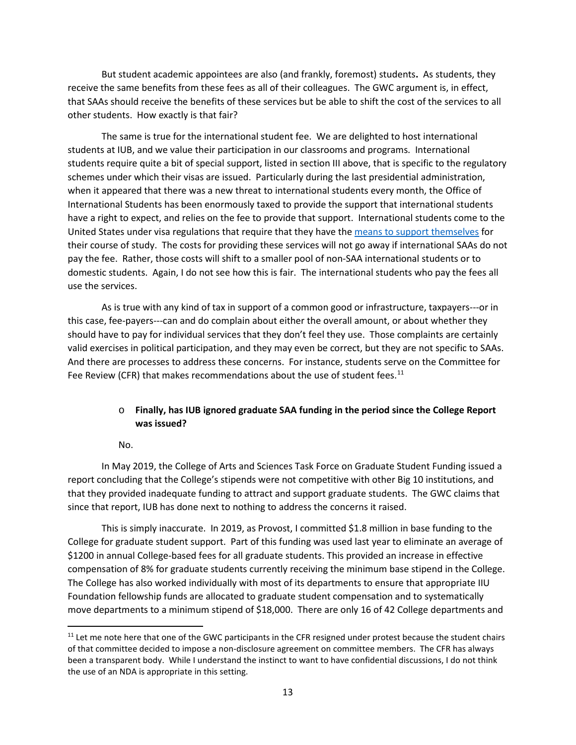But student academic appointees are also (and frankly, foremost) students**.** As students, they receive the same benefits from these fees as all of their colleagues. The GWC argument is, in effect, that SAAs should receive the benefits of these services but be able to shift the cost of the services to all other students. How exactly is that fair?

The same is true for the international student fee. We are delighted to host international students at IUB, and we value their participation in our classrooms and programs. International students require quite a bit of special support, listed in section III above, that is specific to the regulatory schemes under which their visas are issued. Particularly during the last presidential administration, when it appeared that there was a new threat to international students every month, the Office of International Students has been enormously taxed to provide the support that international students have a right to expect, and relies on the fee to provide that support. International students come to the United States under visa regulations that require that they have the [means to support themselves](https://ois.iu.edu/admissions/cost-finances/tuition-fees.html) for their course of study. The costs for providing these services will not go away if international SAAs do not pay the fee. Rather, those costs will shift to a smaller pool of non-SAA international students or to domestic students. Again, I do not see how this is fair. The international students who pay the fees all use the services.

As is true with any kind of tax in support of a common good or infrastructure, taxpayers---or in this case, fee-payers---can and do complain about either the overall amount, or about whether they should have to pay for individual services that they don't feel they use. Those complaints are certainly valid exercises in political participation, and they may even be correct, but they are not specific to SAAs. And there are processes to address these concerns. For instance, students serve on the Committee for Fee Review (CFR) that makes recommendations about the use of student fees.<sup>[11](#page-12-0)</sup>

## o **Finally, has IUB ignored graduate SAA funding in the period since the College Report was issued?**

No.

In May 2019, the College of Arts and Sciences Task Force on Graduate Student Funding issued a report concluding that the College's stipends were not competitive with other Big 10 institutions, and that they provided inadequate funding to attract and support graduate students. The GWC claims that since that report, IUB has done next to nothing to address the concerns it raised.

This is simply inaccurate. In 2019, as Provost, I committed \$1.8 million in base funding to the College for graduate student support. Part of this funding was used last year to eliminate an average of \$1200 in annual College-based fees for all graduate students. This provided an increase in effective compensation of 8% for graduate students currently receiving the minimum base stipend in the College. The College has also worked individually with most of its departments to ensure that appropriate IIU Foundation fellowship funds are allocated to graduate student compensation and to systematically move departments to a minimum stipend of \$18,000. There are only 16 of 42 College departments and

<span id="page-12-0"></span> $11$  Let me note here that one of the GWC participants in the CFR resigned under protest because the student chairs of that committee decided to impose a non-disclosure agreement on committee members. The CFR has always been a transparent body. While I understand the instinct to want to have confidential discussions, I do not think the use of an NDA is appropriate in this setting.